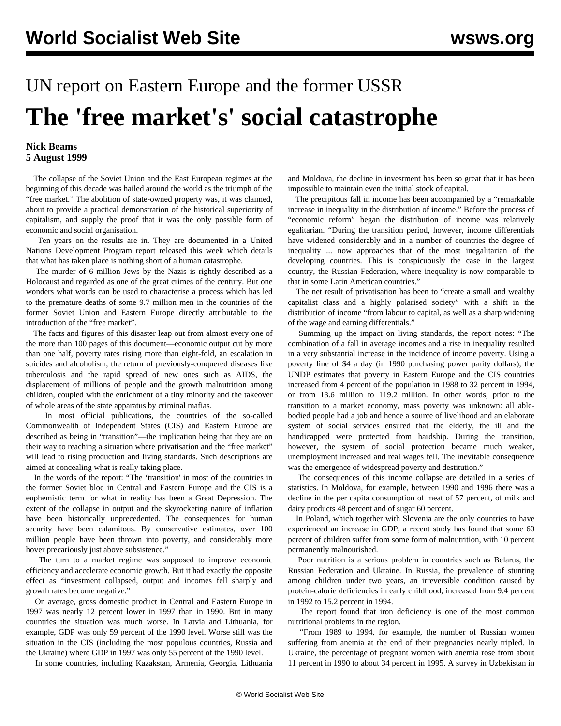## UN report on Eastern Europe and the former USSR **The 'free market's' social catastrophe**

## **Nick Beams 5 August 1999**

 The collapse of the Soviet Union and the East European regimes at the beginning of this decade was hailed around the world as the triumph of the "free market." The abolition of state-owned property was, it was claimed, about to provide a practical demonstration of the historical superiority of capitalism, and supply the proof that it was the only possible form of economic and social organisation.

 Ten years on the results are in. They are documented in a United Nations Development Program report released this week which details that what has taken place is nothing short of a human catastrophe.

 The murder of 6 million Jews by the Nazis is rightly described as a Holocaust and regarded as one of the great crimes of the century. But one wonders what words can be used to characterise a process which has led to the premature deaths of some 9.7 million men in the countries of the former Soviet Union and Eastern Europe directly attributable to the introduction of the "free market".

 The facts and figures of this disaster leap out from almost every one of the more than 100 pages of this document—economic output cut by more than one half, poverty rates rising more than eight-fold, an escalation in suicides and alcoholism, the return of previously-conquered diseases like tuberculosis and the rapid spread of new ones such as AIDS, the displacement of millions of people and the growth malnutrition among children, coupled with the enrichment of a tiny minority and the takeover of whole areas of the state apparatus by criminal mafias.

 In most official publications, the countries of the so-called Commonwealth of Independent States (CIS) and Eastern Europe are described as being in "transition"—the implication being that they are on their way to reaching a situation where privatisation and the "free market" will lead to rising production and living standards. Such descriptions are aimed at concealing what is really taking place.

 In the words of the report: "The 'transition' in most of the countries in the former Soviet bloc in Central and Eastern Europe and the CIS is a euphemistic term for what in reality has been a Great Depression. The extent of the collapse in output and the skyrocketing nature of inflation have been historically unprecedented. The consequences for human security have been calamitous. By conservative estimates, over 100 million people have been thrown into poverty, and considerably more hover precariously just above subsistence."

 The turn to a market regime was supposed to improve economic efficiency and accelerate economic growth. But it had exactly the opposite effect as "investment collapsed, output and incomes fell sharply and growth rates become negative."

 On average, gross domestic product in Central and Eastern Europe in 1997 was nearly 12 percent lower in 1997 than in 1990. But in many countries the situation was much worse. In Latvia and Lithuania, for example, GDP was only 59 percent of the 1990 level. Worse still was the situation in the CIS (including the most populous countries, Russia and the Ukraine) where GDP in 1997 was only 55 percent of the 1990 level.

In some countries, including Kazakstan, Armenia, Georgia, Lithuania

and Moldova, the decline in investment has been so great that it has been impossible to maintain even the initial stock of capital.

 The precipitous fall in income has been accompanied by a "remarkable increase in inequality in the distribution of income." Before the process of "economic reform" began the distribution of income was relatively egalitarian. "During the transition period, however, income differentials have widened considerably and in a number of countries the degree of inequality ... now approaches that of the most inegalitarian of the developing countries. This is conspicuously the case in the largest country, the Russian Federation, where inequality is now comparable to that in some Latin American countries."

 The net result of privatisation has been to "create a small and wealthy capitalist class and a highly polarised society" with a shift in the distribution of income "from labour to capital, as well as a sharp widening of the wage and earning differentials."

 Summing up the impact on living standards, the report notes: "The combination of a fall in average incomes and a rise in inequality resulted in a very substantial increase in the incidence of income poverty. Using a poverty line of \$4 a day (in 1990 purchasing power parity dollars), the UNDP estimates that poverty in Eastern Europe and the CIS countries increased from 4 percent of the population in 1988 to 32 percent in 1994, or from 13.6 million to 119.2 million. In other words, prior to the transition to a market economy, mass poverty was unknown: all ablebodied people had a job and hence a source of livelihood and an elaborate system of social services ensured that the elderly, the ill and the handicapped were protected from hardship. During the transition, however, the system of social protection became much weaker, unemployment increased and real wages fell. The inevitable consequence was the emergence of widespread poverty and destitution."

 The consequences of this income collapse are detailed in a series of statistics. In Moldova, for example, between 1990 and 1996 there was a decline in the per capita consumption of meat of 57 percent, of milk and dairy products 48 percent and of sugar 60 percent.

 In Poland, which together with Slovenia are the only countries to have experienced an increase in GDP, a recent study has found that some 60 percent of children suffer from some form of malnutrition, with 10 percent permanently malnourished.

 Poor nutrition is a serious problem in countries such as Belarus, the Russian Federation and Ukraine. In Russia, the prevalence of stunting among children under two years, an irreversible condition caused by protein-calorie deficiencies in early childhood, increased from 9.4 percent in 1992 to 15.2 percent in 1994.

 The report found that iron deficiency is one of the most common nutritional problems in the region.

 "From 1989 to 1994, for example, the number of Russian women suffering from anemia at the end of their pregnancies nearly tripled. In Ukraine, the percentage of pregnant women with anemia rose from about 11 percent in 1990 to about 34 percent in 1995. A survey in Uzbekistan in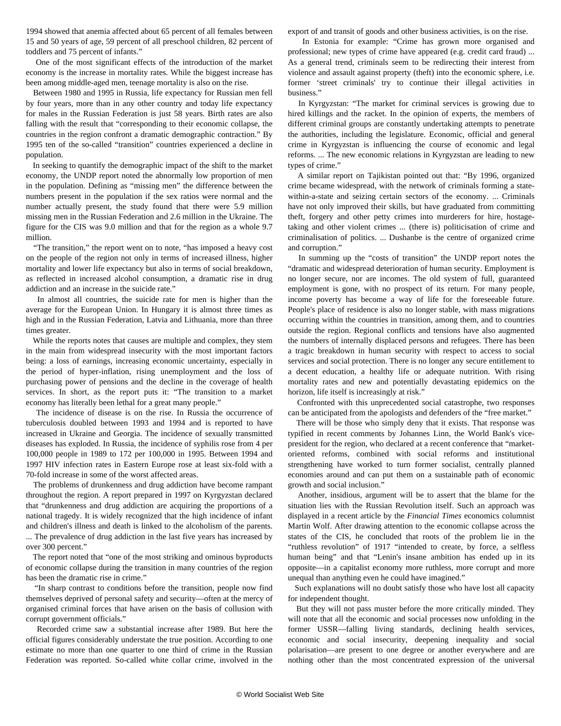1994 showed that anemia affected about 65 percent of all females between 15 and 50 years of age, 59 percent of all preschool children, 82 percent of toddlers and 75 percent of infants."

 One of the most significant effects of the introduction of the market economy is the increase in mortality rates. While the biggest increase has been among middle-aged men, teenage mortality is also on the rise.

 Between 1980 and 1995 in Russia, life expectancy for Russian men fell by four years, more than in any other country and today life expectancy for males in the Russian Federation is just 58 years. Birth rates are also falling with the result that "corresponding to their economic collapse, the countries in the region confront a dramatic demographic contraction." By 1995 ten of the so-called "transition" countries experienced a decline in population.

 In seeking to quantify the demographic impact of the shift to the market economy, the UNDP report noted the abnormally low proportion of men in the population. Defining as "missing men" the difference between the numbers present in the population if the sex ratios were normal and the number actually present, the study found that there were 5.9 million missing men in the Russian Federation and 2.6 million in the Ukraine. The figure for the CIS was 9.0 million and that for the region as a whole 9.7 million.

 "The transition," the report went on to note, "has imposed a heavy cost on the people of the region not only in terms of increased illness, higher mortality and lower life expectancy but also in terms of social breakdown, as reflected in increased alcohol consumption, a dramatic rise in drug addiction and an increase in the suicide rate."

 In almost all countries, the suicide rate for men is higher than the average for the European Union. In Hungary it is almost three times as high and in the Russian Federation, Latvia and Lithuania, more than three times greater.

 While the reports notes that causes are multiple and complex, they stem in the main from widespread insecurity with the most important factors being: a loss of earnings, increasing economic uncertainty, especially in the period of hyper-inflation, rising unemployment and the loss of purchasing power of pensions and the decline in the coverage of health services. In short, as the report puts it: "The transition to a market economy has literally been lethal for a great many people."

 The incidence of disease is on the rise. In Russia the occurrence of tuberculosis doubled between 1993 and 1994 and is reported to have increased in Ukraine and Georgia. The incidence of sexually transmitted diseases has exploded. In Russia, the incidence of syphilis rose from 4 per 100,000 people in 1989 to 172 per 100,000 in 1995. Between 1994 and 1997 HIV infection rates in Eastern Europe rose at least six-fold with a 70-fold increase in some of the worst affected areas.

 The problems of drunkenness and drug addiction have become rampant throughout the region. A report prepared in 1997 on Kyrgyzstan declared that "drunkenness and drug addiction are acquiring the proportions of a national tragedy. It is widely recognized that the high incidence of infant and children's illness and death is linked to the alcoholism of the parents. ... The prevalence of drug addiction in the last five years has increased by over 300 percent."

 The report noted that "one of the most striking and ominous byproducts of economic collapse during the transition in many countries of the region has been the dramatic rise in crime."

 "In sharp contrast to conditions before the transition, people now find themselves deprived of personal safety and security—often at the mercy of organised criminal forces that have arisen on the basis of collusion with corrupt government officials."

 Recorded crime saw a substantial increase after 1989. But here the official figures considerably understate the true position. According to one estimate no more than one quarter to one third of crime in the Russian Federation was reported. So-called white collar crime, involved in the export of and transit of goods and other business activities, is on the rise.

 In Estonia for example: "Crime has grown more organised and professional; new types of crime have appeared (e.g. credit card fraud) ... As a general trend, criminals seem to be redirecting their interest from violence and assault against property (theft) into the economic sphere, i.e. former 'street criminals' try to continue their illegal activities in business."

 In Kyrgyzstan: "The market for criminal services is growing due to hired killings and the racket. In the opinion of experts, the members of different criminal groups are constantly undertaking attempts to penetrate the authorities, including the legislature. Economic, official and general crime in Kyrgyzstan is influencing the course of economic and legal reforms. ... The new economic relations in Kyrgyzstan are leading to new types of crime."

 A similar report on Tajikistan pointed out that: "By 1996, organized crime became widespread, with the network of criminals forming a statewithin-a-state and seizing certain sectors of the economy. ... Criminals have not only improved their skills, but have graduated from committing theft, forgery and other petty crimes into murderers for hire, hostagetaking and other violent crimes ... (there is) politicisation of crime and criminalisation of politics. ... Dushanbe is the centre of organized crime and corruption."

 In summing up the "costs of transition" the UNDP report notes the "dramatic and widespread deterioration of human security. Employment is no longer secure, nor are incomes. The old system of full, guaranteed employment is gone, with no prospect of its return. For many people, income poverty has become a way of life for the foreseeable future. People's place of residence is also no longer stable, with mass migrations occurring within the countries in transition, among them, and to countries outside the region. Regional conflicts and tensions have also augmented the numbers of internally displaced persons and refugees. There has been a tragic breakdown in human security with respect to access to social services and social protection. There is no longer any secure entitlement to a decent education, a healthy life or adequate nutrition. With rising mortality rates and new and potentially devastating epidemics on the horizon, life itself is increasingly at risk."

 Confronted with this unprecedented social catastrophe, two responses can be anticipated from the apologists and defenders of the "free market."

 There will be those who simply deny that it exists. That response was typified in recent comments by Johannes Linn, the World Bank's vicepresident for the region, who declared at a recent conference that "marketoriented reforms, combined with social reforms and institutional strengthening have worked to turn former socialist, centrally planned economies around and can put them on a sustainable path of economic growth and social inclusion."

 Another, insidious, argument will be to assert that the blame for the situation lies with the Russian Revolution itself. Such an approach was displayed in a recent article by the *Financial Times* economics columnist Martin Wolf. After drawing attention to the economic collapse across the states of the CIS, he concluded that roots of the problem lie in the "ruthless revolution" of 1917 "intended to create, by force, a selfless human being" and that "Lenin's insane ambition has ended up in its opposite—in a capitalist economy more ruthless, more corrupt and more unequal than anything even he could have imagined."

 Such explanations will no doubt satisfy those who have lost all capacity for independent thought.

 But they will not pass muster before the more critically minded. They will note that all the economic and social processes now unfolding in the former USSR—falling living standards, declining health services, economic and social insecurity, deepening inequality and social polarisation—are present to one degree or another everywhere and are nothing other than the most concentrated expression of the universal